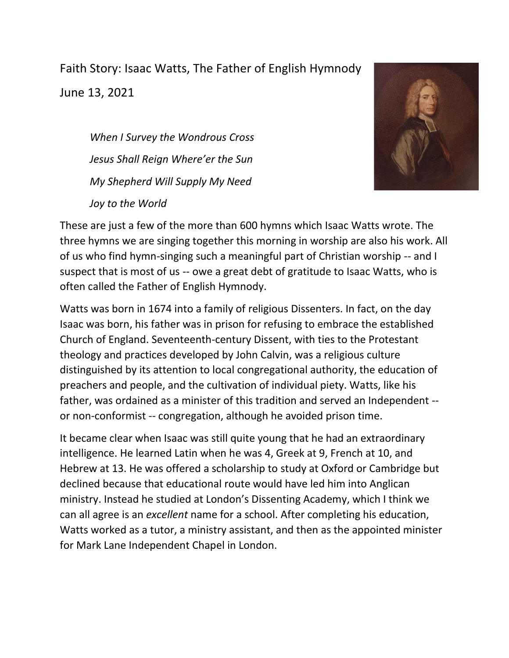Faith Story: Isaac Watts, The Father of English Hymnody June 13, 2021

*When I Survey the Wondrous Cross Jesus Shall Reign Where'er the Sun My Shepherd Will Supply My Need Joy to the World*



These are just a few of the more than 600 hymns which Isaac Watts wrote. The three hymns we are singing together this morning in worship are also his work. All of us who find hymn-singing such a meaningful part of Christian worship -- and I suspect that is most of us -- owe a great debt of gratitude to Isaac Watts, who is often called the Father of English Hymnody.

Watts was born in 1674 into a family of religious Dissenters. In fact, on the day Isaac was born, his father was in prison for refusing to embrace the established Church of England. Seventeenth-century Dissent, with ties to the Protestant theology and practices developed by John Calvin, was a religious culture distinguished by its attention to local congregational authority, the education of preachers and people, and the cultivation of individual piety. Watts, like his father, was ordained as a minister of this tradition and served an Independent - or non-conformist -- congregation, although he avoided prison time.

It became clear when Isaac was still quite young that he had an extraordinary intelligence. He learned Latin when he was 4, Greek at 9, French at 10, and Hebrew at 13. He was offered a scholarship to study at Oxford or Cambridge but declined because that educational route would have led him into Anglican ministry. Instead he studied at London's Dissenting Academy, which I think we can all agree is an *excellent* name for a school. After completing his education, Watts worked as a tutor, a ministry assistant, and then as the appointed minister for Mark Lane Independent Chapel in London.